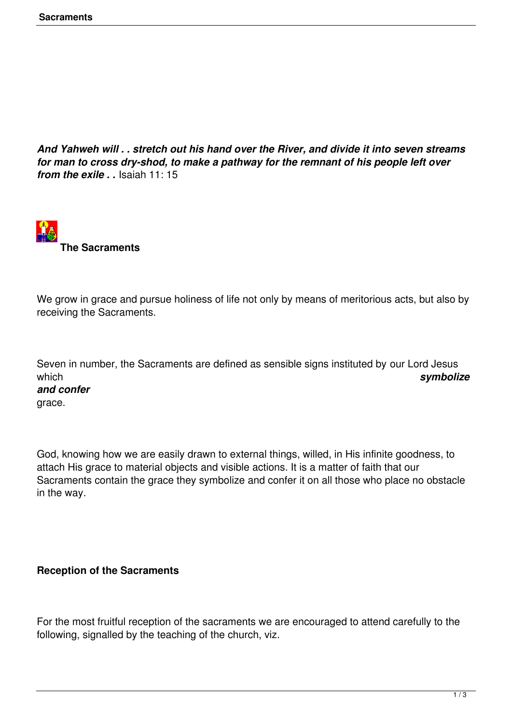*And Yahweh will . . stretch out his hand over the River, and divide it into seven streams for man to cross dry-shod, to make a pathway for the remnant of his people left over from the exile . .* Isaiah 11: 15



We grow in grace and pursue holiness of life not only by means of meritorious acts, but also by receiving the Sacraments.

Seven in number, the Sacraments are defined as sensible signs instituted by our Lord Jesus which *symbolize and confer* grace.

God, knowing how we are easily drawn to external things, willed, in His infinite goodness, to attach His grace to material objects and visible actions. It is a matter of faith that our Sacraments contain the grace they symbolize and confer it on all those who place no obstacle in the way.

## **Reception of the Sacraments**

For the most fruitful reception of the sacraments we are encouraged to attend carefully to the following, signalled by the teaching of the church, viz.